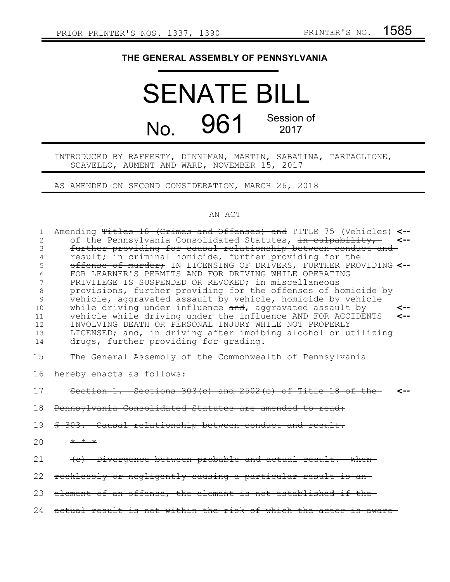## **THE GENERAL ASSEMBLY OF PENNSYLVANIA**

## SENATE BILL No. 961 Session of 2017

## INTRODUCED BY RAFFERTY, DINNIMAN, MARTIN, SABATINA, TARTAGLIONE, SCAVELLO, AUMENT AND WARD, NOVEMBER 15, 2017

AS AMENDED ON SECOND CONSIDERATION, MARCH 26, 2018

## AN ACT

| $\mathbf{1}$   | Amending Titles 18 (Crimes and Offenses) and TITLE 75 (Vehicles) <--        |
|----------------|-----------------------------------------------------------------------------|
| $\overline{2}$ | of the Pennsylvania Consolidated Statutes, in culpability, <--              |
| 3              | further providing for causal relationship between conduct and               |
| 4              | result; in criminal homicide, further providing for the-                    |
| 5              | offense of murder, IN LICENSING OF DRIVERS, FURTHER PROVIDING <--           |
| 6              | FOR LEARNER'S PERMITS AND FOR DRIVING WHILE OPERATING                       |
| 7              | PRIVILEGE IS SUSPENDED OR REVOKED; in miscellaneous                         |
| 8              | provisions, further providing for the offenses of homicide by               |
| 9              | vehicle, aggravated assault by vehicle, homicide by vehicle                 |
| 10             | while driving under influence and, aggravated assault by<br><--             |
|                | vehicle while driving under the influence AND FOR ACCIDENTS<br>$\leftarrow$ |
| 11             |                                                                             |
| 12             | INVOLVING DEATH OR PERSONAL INJURY WHILE NOT PROPERLY                       |
| 13             | LICENSED; and, in driving after imbibing alcohol or utilizing               |
| 14             | drugs, further providing for grading.                                       |
| 15             | The General Assembly of the Commonwealth of Pennsylvania                    |
|                |                                                                             |
| 16             | hereby enacts as follows:                                                   |
| 17             | Section 1. Sections $303(c)$ and $2502(c)$ of Title 18 of the               |
| 18             | Pennsylvania Consolidated Statutes are amended to read:                     |
| 19             | \$ 303. Causal relationship between conduct and result.                     |
| 20             | $+$ $+$ $+$                                                                 |
| 21             | (c) Divergence between probable and actual result. When                     |
| 22             | recklessly or negligently causing a particular result is an-                |
| 23             | element of an offense, the element is not established if the-               |
| 2.4            | actual result is not within the risk of which the actor is aware-           |
|                |                                                                             |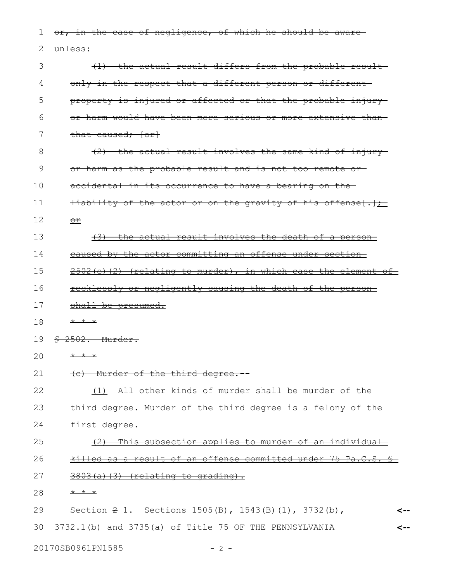or, in the case of negligence, of which he should be awareunless: (1) the actual result differs from the probable result only in the respect that a different person or different property is injured or affected or that the probable injury or harm would have been more serious or more extensive than that caused;  $\{or\}$ (2) the actual result involves the same kind of injury or harm as the probable result and is not too remote or accidental in its occurrence to have a bearing on the liability of the actor or on the gravity of his offense $\{\cdot\}$ ; or (3) the actual result involves the death of a person caused by the actor committing an offense under section  $2502(c)$  (2) (relating to murder), in which case the element of recklessly or negligently causing the death of the person shall be presumed. \* \* \* § 2502. Murder. \* \* \* (c) Murder of the third degree.-- (1) All other kinds of murder shall be murder of the third degree. Murder of the third degree is a felony of the first degree. (2) This subsection applies to murder of an individual killed as a result of an offense committed under 75 Pa.C.S. §  $3803(a)$  (3) (relating to grading). \* \* \* Section 2 1. Sections 1505(B), 1543(B)(1), 3732(b), 3732.1(b) and 3735(a) of Title 75 OF THE PENNSYLVANIA **<-- <--** 1 2 3 4 5 6 7 8 9 10 11 12 13 14 15 16 17 18 19 20 21 22 23 24 25 26 27 28 29 30

20170SB0961PN1585 - 2 -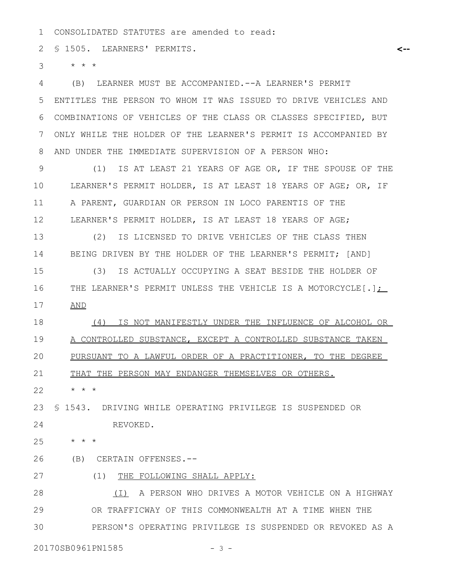CONSOLIDATED STATUTES are amended to read: 1

§ 1505. LEARNERS' PERMITS. 2

\* \* \* 3

(B) LEARNER MUST BE ACCOMPANIED.--A LEARNER'S PERMIT ENTITLES THE PERSON TO WHOM IT WAS ISSUED TO DRIVE VEHICLES AND COMBINATIONS OF VEHICLES OF THE CLASS OR CLASSES SPECIFIED, BUT ONLY WHILE THE HOLDER OF THE LEARNER'S PERMIT IS ACCOMPANIED BY AND UNDER THE IMMEDIATE SUPERVISION OF A PERSON WHO: 4 5 6 7 8

(1) IS AT LEAST 21 YEARS OF AGE OR, IF THE SPOUSE OF THE LEARNER'S PERMIT HOLDER, IS AT LEAST 18 YEARS OF AGE; OR, IF A PARENT, GUARDIAN OR PERSON IN LOCO PARENTIS OF THE LEARNER'S PERMIT HOLDER, IS AT LEAST 18 YEARS OF AGE; 9 10 11 12

(2) IS LICENSED TO DRIVE VEHICLES OF THE CLASS THEN BEING DRIVEN BY THE HOLDER OF THE LEARNER'S PERMIT; [AND] 13 14

(3) IS ACTUALLY OCCUPYING A SEAT BESIDE THE HOLDER OF THE LEARNER'S PERMIT UNLESS THE VEHICLE IS A MOTORCYCLE[.]; AND 15 16 17

(4) IS NOT MANIFESTLY UNDER THE INFLUENCE OF ALCOHOL OR A CONTROLLED SUBSTANCE, EXCEPT A CONTROLLED SUBSTANCE TAKEN PURSUANT TO A LAWFUL ORDER OF A PRACTITIONER, TO THE DEGREE THAT THE PERSON MAY ENDANGER THEMSELVES OR OTHERS. 18 19 20 21

\* \* \* 22

§ 1543. DRIVING WHILE OPERATING PRIVILEGE IS SUSPENDED OR REVOKED. 23 24

 $\star$   $\hspace{0.1cm} \star$   $\hspace{0.1cm} \star$ 25

(B) CERTAIN OFFENSES.-- 26

(1) THE FOLLOWING SHALL APPLY: 27

(I) A PERSON WHO DRIVES A MOTOR VEHICLE ON A HIGHWAY OR TRAFFICWAY OF THIS COMMONWEALTH AT A TIME WHEN THE PERSON'S OPERATING PRIVILEGE IS SUSPENDED OR REVOKED AS A 28 29 30

20170SB0961PN1585 - 3 -

**<--**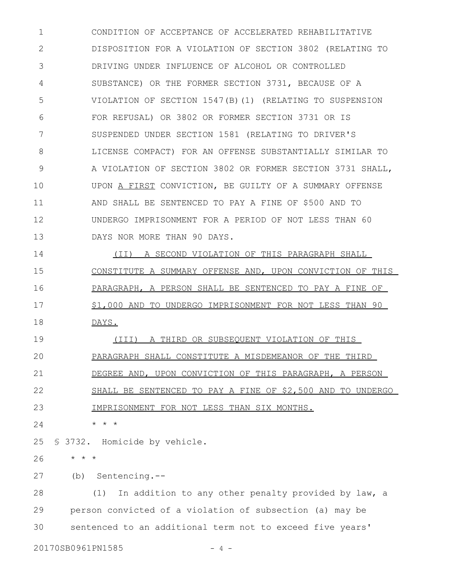CONDITION OF ACCEPTANCE OF ACCELERATED REHABILITATIVE DISPOSITION FOR A VIOLATION OF SECTION 3802 (RELATING TO DRIVING UNDER INFLUENCE OF ALCOHOL OR CONTROLLED SUBSTANCE) OR THE FORMER SECTION 3731, BECAUSE OF A VIOLATION OF SECTION 1547(B)(1) (RELATING TO SUSPENSION FOR REFUSAL) OR 3802 OR FORMER SECTION 3731 OR IS SUSPENDED UNDER SECTION 1581 (RELATING TO DRIVER'S LICENSE COMPACT) FOR AN OFFENSE SUBSTANTIALLY SIMILAR TO A VIOLATION OF SECTION 3802 OR FORMER SECTION 3731 SHALL, UPON A FIRST CONVICTION, BE GUILTY OF A SUMMARY OFFENSE AND SHALL BE SENTENCED TO PAY A FINE OF \$500 AND TO UNDERGO IMPRISONMENT FOR A PERIOD OF NOT LESS THAN 60 DAYS NOR MORE THAN 90 DAYS. 1 2 3 4 5 6 7 8 9 10 11 12 13

(II) A SECOND VIOLATION OF THIS PARAGRAPH SHALL CONSTITUTE A SUMMARY OFFENSE AND, UPON CONVICTION OF THIS PARAGRAPH, A PERSON SHALL BE SENTENCED TO PAY A FINE OF \$1,000 AND TO UNDERGO IMPRISONMENT FOR NOT LESS THAN 90 DAYS. 14 15 16 17 18

(III) A THIRD OR SUBSEQUENT VIOLATION OF THIS PARAGRAPH SHALL CONSTITUTE A MISDEMEANOR OF THE THIRD DEGREE AND, UPON CONVICTION OF THIS PARAGRAPH, A PERSON SHALL BE SENTENCED TO PAY A FINE OF \$2,500 AND TO UNDERGO IMPRISONMENT FOR NOT LESS THAN SIX MONTHS. 19 20 21 22 23

\* \* \* 24

§ 3732. Homicide by vehicle. 25

\* \* \* 26

(b) Sentencing.-- 27

(1) In addition to any other penalty provided by law, a person convicted of a violation of subsection (a) may be sentenced to an additional term not to exceed five years' 28 29 30

20170SB0961PN1585 - 4 -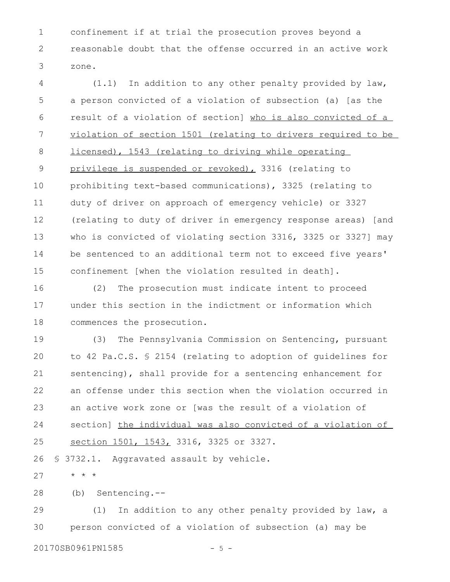confinement if at trial the prosecution proves beyond a reasonable doubt that the offense occurred in an active work zone. 1 2 3

(1.1) In addition to any other penalty provided by law, a person convicted of a violation of subsection (a) [as the result of a violation of section] who is also convicted of a violation of section 1501 (relating to drivers required to be licensed), 1543 (relating to driving while operating privilege is suspended or revoked), 3316 (relating to prohibiting text-based communications), 3325 (relating to duty of driver on approach of emergency vehicle) or 3327 (relating to duty of driver in emergency response areas) [and who is convicted of violating section 3316, 3325 or 3327] may be sentenced to an additional term not to exceed five years' confinement [when the violation resulted in death]. 4 5 6 7 8 9 10 11 12 13 14 15

(2) The prosecution must indicate intent to proceed under this section in the indictment or information which commences the prosecution. 16 17 18

(3) The Pennsylvania Commission on Sentencing, pursuant to 42 Pa.C.S. § 2154 (relating to adoption of guidelines for sentencing), shall provide for a sentencing enhancement for an offense under this section when the violation occurred in an active work zone or [was the result of a violation of section] the individual was also convicted of a violation of section 1501, 1543, 3316, 3325 or 3327. 19 20 21 22 23 24 25

§ 3732.1. Aggravated assault by vehicle. 26

\* \* \* 27

(b) Sentencing.-- 28

(1) In addition to any other penalty provided by law, a person convicted of a violation of subsection (a) may be 29 30

20170SB0961PN1585 - 5 -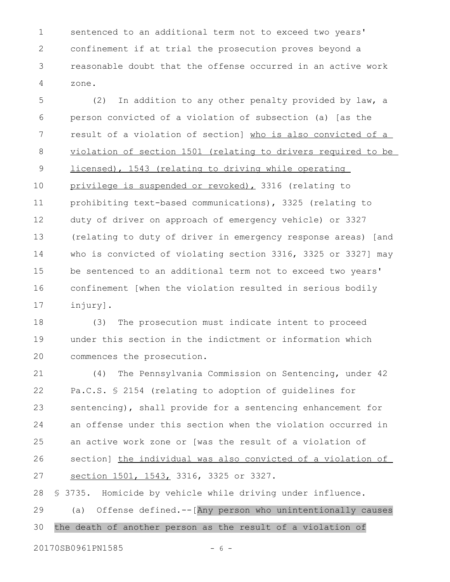sentenced to an additional term not to exceed two years' confinement if at trial the prosecution proves beyond a reasonable doubt that the offense occurred in an active work zone. 1 2 3 4

(2) In addition to any other penalty provided by law, a person convicted of a violation of subsection (a) [as the result of a violation of section] who is also convicted of a violation of section 1501 (relating to drivers required to be licensed), 1543 (relating to driving while operating privilege is suspended or revoked), 3316 (relating to prohibiting text-based communications), 3325 (relating to duty of driver on approach of emergency vehicle) or 3327 (relating to duty of driver in emergency response areas) [and who is convicted of violating section 3316, 3325 or 3327] may be sentenced to an additional term not to exceed two years' confinement [when the violation resulted in serious bodily injury]. 5 6 7 8 9 10 11 12 13 14 15 16 17

(3) The prosecution must indicate intent to proceed under this section in the indictment or information which commences the prosecution. 18 19 20

(4) The Pennsylvania Commission on Sentencing, under 42 Pa.C.S. § 2154 (relating to adoption of guidelines for sentencing), shall provide for a sentencing enhancement for an offense under this section when the violation occurred in an active work zone or [was the result of a violation of section] the individual was also convicted of a violation of section 1501, 1543, 3316, 3325 or 3327. 21 22 23 24 25 26 27

§ 3735. Homicide by vehicle while driving under influence. (a) Offense defined.--[Any person who unintentionally causes the death of another person as the result of a violation of 28 29 30

20170SB0961PN1585 - 6 -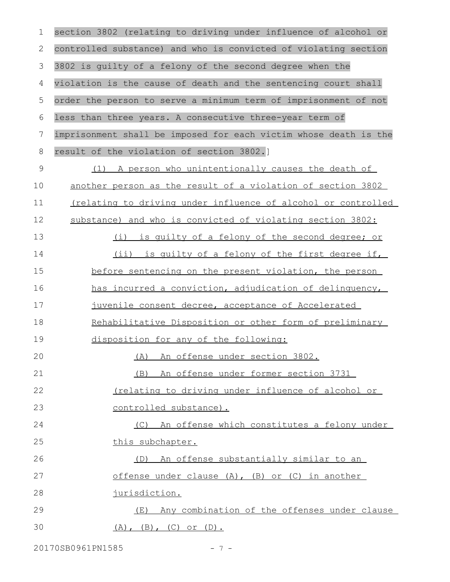| 1           | section 3802 (relating to driving under influence of alcohol or  |
|-------------|------------------------------------------------------------------|
| 2           | controlled substance) and who is convicted of violating section  |
| 3           | 3802 is guilty of a felony of the second degree when the         |
| 4           | violation is the cause of death and the sentencing court shall   |
| 5           | order the person to serve a minimum term of imprisonment of not  |
| 6           | less than three years. A consecutive three-year term of          |
| 7           | imprisonment shall be imposed for each victim whose death is the |
| 8           | result of the violation of section 3802.]                        |
| $\mathsf 9$ | (1) A person who unintentionally causes the death of             |
| 10          | another person as the result of a violation of section 3802      |
| 11          | (relating to driving under influence of alcohol or controlled    |
| 12          | substance) and who is convicted of violating section 3802:       |
| 13          | (i) is quilty of a felony of the second degree; or               |
| 14          | (ii) is quilty of a felony of the first degree if,               |
| 15          | before sentencing on the present violation, the person           |
| 16          | has incurred a conviction, adjudication of delinquency,          |
| 17          | juvenile consent decree, acceptance of Accelerated               |
| 18          | Rehabilitative Disposition or other form of preliminary          |
| 19          | disposition for any of the following:                            |
| 20          | (A) An offense under section 3802.                               |
| 21          | An offense under former section 3731<br>(B)                      |
| 22          | Inclating to driving under influence of alcohol or               |
| 23          | controlled substance).                                           |
| 24          | (C) An offense which constitutes a felony under                  |
| 25          | this subchapter.                                                 |
| 26          | (D) An offense substantially similar to an                       |
| 27          | offense under clause (A), (B) or (C) in another                  |
| 28          | jurisdiction.                                                    |
| 29          | (E) Any combination of the offenses under clause                 |
| 30          | $(A)$ , $(B)$ , $(C)$ or $(D)$ .                                 |

20170SB0961PN1585 - 7 -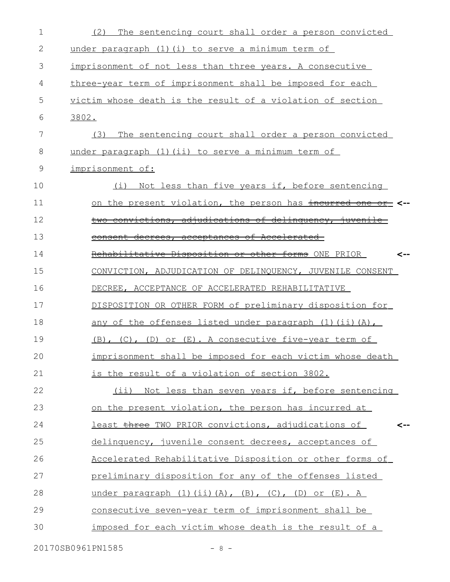| 1  | The sentencing court shall order a person convicted<br>(2)              |
|----|-------------------------------------------------------------------------|
| 2  | under paragraph $(1)$ $(i)$ to serve a minimum term of                  |
| 3  | imprisonment of not less than three years. A consecutive                |
| 4  | three-year term of imprisonment shall be imposed for each               |
| 5  | victim whose death is the result of a violation of section              |
| 6  | 3802.                                                                   |
| 7  | The sentencing court shall order a person convicted<br>(3)              |
| 8  | under paragraph (1) (ii) to serve a minimum term of                     |
| 9  | imprisonment of:                                                        |
| 10 | Not less than five years if, before sentencing<br>(i)                   |
| 11 | <u>on the present violation, the person has incurred one or</u> <--     |
| 12 | two convictions, adjudications of delinquency, juvenile                 |
| 13 | consent decrees, acceptances of Accelerated-                            |
| 14 | Rehabilitative Disposition or other forms ONE PRIOR                     |
| 15 | CONVICTION, ADJUDICATION OF DELINQUENCY, JUVENILE CONSENT               |
| 16 | DECREE, ACCEPTANCE OF ACCELERATED REHABILITATIVE                        |
| 17 | DISPOSITION OR OTHER FORM of preliminary disposition for                |
| 18 | any of the offenses listed under paragraph (1) (ii) (A),                |
| 19 | $(B)$ , $(C)$ , $(D)$ or $(E)$ . A consecutive five-year term of        |
| 20 | imprisonment shall be imposed for each victim whose death               |
| 21 | is the result of a violation of section 3802.                           |
| 22 | (ii) Not less than seven years if, before sentencing                    |
| 23 | on the present violation, the person has incurred at                    |
| 24 | least three TWO PRIOR convictions, adjudications of<br><--              |
| 25 | delinquency, juvenile consent decrees, acceptances of                   |
| 26 | Accelerated Rehabilitative Disposition or other forms of                |
| 27 | preliminary disposition for any of the offenses listed                  |
| 28 | under paragraph $(1)$ $(ii)$ $(A)$ , $(B)$ , $(C)$ , $(D)$ or $(E)$ . A |
| 29 | <u>consecutive seven-year term of imprisonment shall be</u>             |
| 30 | imposed for each victim whose death is the result of a                  |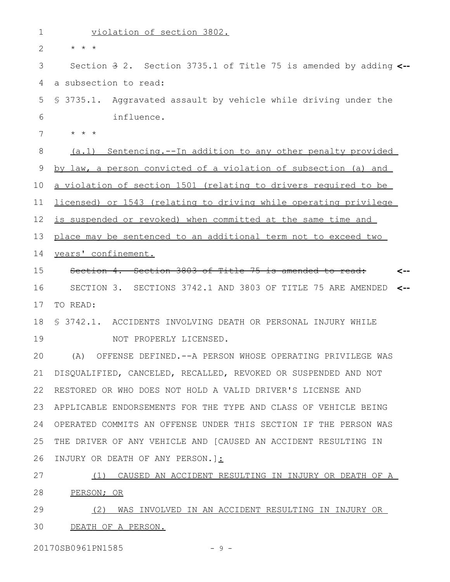| $\mathbf 1$    | violation of section 3802.                                                   |
|----------------|------------------------------------------------------------------------------|
| $\overline{2}$ | $\star$ $\star$ $\star$                                                      |
| 3              | Section $\frac{3}{7}$ 2. Section 3735.1 of Title 75 is amended by adding <-- |
| 4              | a subsection to read:                                                        |
| 5              | \$ 3735.1. Aggravated assault by vehicle while driving under the             |
| 6              | influence.                                                                   |
| 7              | $\star$ $\star$ $\star$                                                      |
| 8              | (a.1) Sentencing.--In addition to any other penalty provided                 |
| 9              | by law, a person convicted of a violation of subsection (a) and              |
| 10             | a violation of section 1501 (relating to drivers required to be              |
| 11             | licensed) or 1543 (relating to driving while operating privilege             |
| 12             | is suspended or revoked) when committed at the same time and                 |
| 13             | place may be sentenced to an additional term not to exceed two               |
| 14             | years' confinement.                                                          |
| 15             | Section 4. Section 3803 of Title 75 is amended to read:                      |
| 16             | SECTION 3. SECTIONS 3742.1 AND 3803 OF TITLE 75 ARE AMENDED                  |
| 17             | TO READ:                                                                     |
| 18             | § 3742.1. ACCIDENTS INVOLVING DEATH OR PERSONAL INJURY WHILE                 |
| 19             | NOT PROPERLY LICENSED.                                                       |
| 20             | (A) OFFENSE DEFINED.--A PERSON WHOSE OPERATING PRIVILEGE WAS                 |
| 21             | DISQUALIFIED, CANCELED, RECALLED, REVOKED OR SUSPENDED AND NOT               |
| 22             | RESTORED OR WHO DOES NOT HOLD A VALID DRIVER'S LICENSE AND                   |
| 23             | APPLICABLE ENDORSEMENTS FOR THE TYPE AND CLASS OF VEHICLE BEING              |
| 24             | OPERATED COMMITS AN OFFENSE UNDER THIS SECTION IF THE PERSON WAS             |
| 25             | THE DRIVER OF ANY VEHICLE AND [CAUSED AN ACCIDENT RESULTING IN               |
| 26             | INJURY OR DEATH OF ANY PERSON. 1:                                            |
| 27             | (1) CAUSED AN ACCIDENT RESULTING IN INJURY OR DEATH OF A                     |
| 28             | PERSON; OR                                                                   |
| 29             | <u>(2) WAS INVOLVED IN AN ACCIDENT RESULTING IN INJURY OR </u>               |
| 30             | DEATH OF A PERSON.                                                           |

20170SB0961PN1585 - 9 -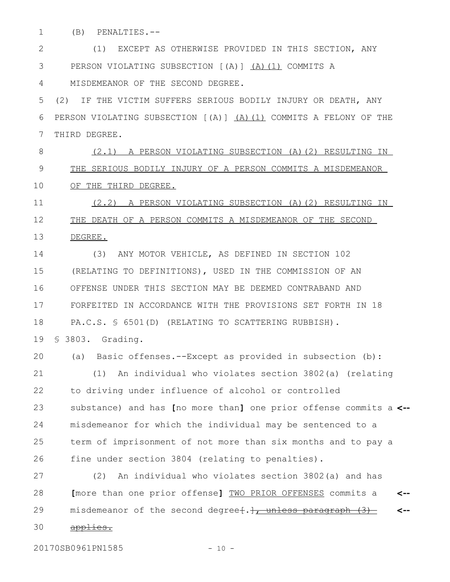(B) PENALTIES.-- 1

(1) EXCEPT AS OTHERWISE PROVIDED IN THIS SECTION, ANY PERSON VIOLATING SUBSECTION [(A)] (A)(1) COMMITS A MISDEMEANOR OF THE SECOND DEGREE. 2 3 4

(2) IF THE VICTIM SUFFERS SERIOUS BODILY INJURY OR DEATH, ANY PERSON VIOLATING SUBSECTION [(A)] (A)(1) COMMITS A FELONY OF THE THIRD DEGREE. 5 6 7

(2.1) A PERSON VIOLATING SUBSECTION (A)(2) RESULTING IN THE SERIOUS BODILY INJURY OF A PERSON COMMITS A MISDEMEANOR OF THE THIRD DEGREE. 8 9 10

(2.2) A PERSON VIOLATING SUBSECTION (A)(2) RESULTING IN THE DEATH OF A PERSON COMMITS A MISDEMEANOR OF THE SECOND DEGREE. 11 12 13

(3) ANY MOTOR VEHICLE, AS DEFINED IN SECTION 102 (RELATING TO DEFINITIONS), USED IN THE COMMISSION OF AN OFFENSE UNDER THIS SECTION MAY BE DEEMED CONTRABAND AND FORFEITED IN ACCORDANCE WITH THE PROVISIONS SET FORTH IN 18 PA.C.S. § 6501(D) (RELATING TO SCATTERING RUBBISH). 14 15 16 17 18

§ 3803. Grading. 19

20

(a) Basic offenses.--Except as provided in subsection (b): (1) An individual who violates section 3802(a) (relating to driving under influence of alcohol or controlled substance) and has **[**no more than**]** one prior offense commits a **<-** misdemeanor for which the individual may be sentenced to a term of imprisonment of not more than six months and to pay a fine under section 3804 (relating to penalties). 21 22 23 24 25 26

(2) An individual who violates section 3802(a) and has **[**more than one prior offense**]** TWO PRIOR OFFENSES commits a misdemeanor of the second degree $\{\cdot\},\cdot$  unless paragraph  $(3)$ applies. **<-- <--** 27 28 29 30

20170SB0961PN1585 - 10 -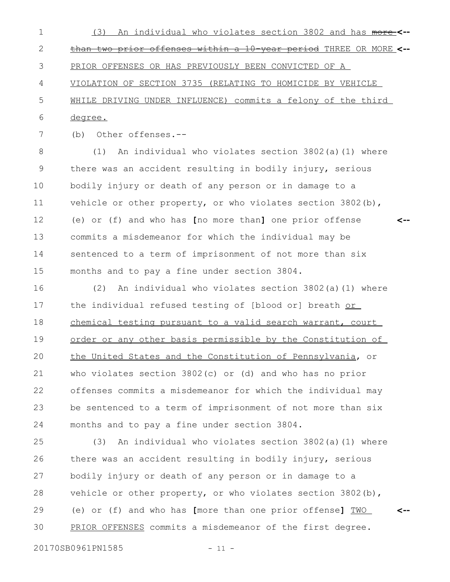- (3) An individual who violates section 3802 and has more **<-** than two prior offenses within a 10-year period THREE OR MORE **<--** PRIOR OFFENSES OR HAS PREVIOUSLY BEEN CONVICTED OF A VIOLATION OF SECTION 3735 (RELATING TO HOMICIDE BY VEHICLE WHILE DRIVING UNDER INFLUENCE) commits a felony of the third degree. 1 2 3 4 5 6
- 7

(b) Other offenses.--

(1) An individual who violates section 3802(a)(1) where there was an accident resulting in bodily injury, serious bodily injury or death of any person or in damage to a vehicle or other property, or who violates section  $3802(b)$ , (e) or (f) and who has **[**no more than**]** one prior offense commits a misdemeanor for which the individual may be sentenced to a term of imprisonment of not more than six months and to pay a fine under section 3804. **<--** 8 9 10 11 12 13 14 15

(2) An individual who violates section 3802(a)(1) where the individual refused testing of [blood or] breath or chemical testing pursuant to a valid search warrant, court order or any other basis permissible by the Constitution of the United States and the Constitution of Pennsylvania, or who violates section 3802(c) or (d) and who has no prior offenses commits a misdemeanor for which the individual may be sentenced to a term of imprisonment of not more than six months and to pay a fine under section 3804. 16 17 18 19 20 21 22 23 24

(3) An individual who violates section 3802(a)(1) where there was an accident resulting in bodily injury, serious bodily injury or death of any person or in damage to a vehicle or other property, or who violates section 3802(b), (e) or (f) and who has **[**more than one prior offense**]** TWO PRIOR OFFENSES commits a misdemeanor of the first degree. 25 26 27 28 29 30

20170SB0961PN1585 - 11 -

**<--**